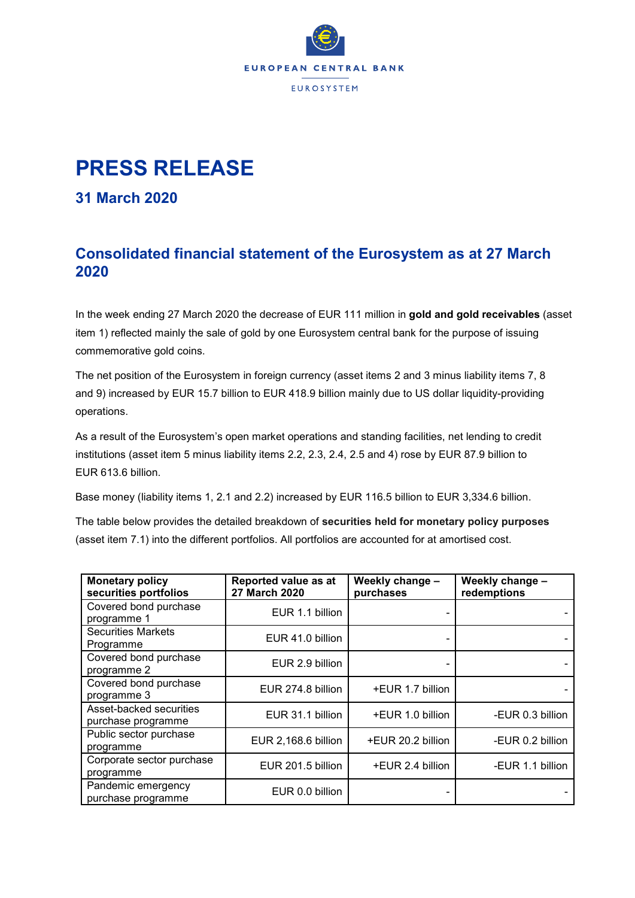

## **PRESS RELEASE**

## **31 March 2020**

## **Consolidated financial statement of the Eurosystem as at 27 March 2020**

In the week ending 27 March 2020 the decrease of EUR 111 million in **gold and gold receivables** (asset item 1) reflected mainly the sale of gold by one Eurosystem central bank for the purpose of issuing commemorative gold coins.

The net position of the Eurosystem in foreign currency (asset items 2 and 3 minus liability items 7, 8 and 9) increased by EUR 15.7 billion to EUR 418.9 billion mainly due to US dollar liquidity-providing operations.

As a result of the Eurosystem's open market operations and standing facilities, net lending to credit institutions (asset item 5 minus liability items 2.2, 2.3, 2.4, 2.5 and 4) rose by EUR 87.9 billion to EUR 613.6 billion.

Base money (liability items 1, 2.1 and 2.2) increased by EUR 116.5 billion to EUR 3,334.6 billion.

The table below provides the detailed breakdown of **securities held for monetary policy purposes** (asset item 7.1) into the different portfolios. All portfolios are accounted for at amortised cost.

| <b>Monetary policy</b><br>securities portfolios | Reported value as at<br><b>27 March 2020</b> | Weekly change -<br>purchases | Weekly change -<br>redemptions |
|-------------------------------------------------|----------------------------------------------|------------------------------|--------------------------------|
| Covered bond purchase<br>programme 1            | EUR 1.1 billion                              |                              |                                |
| <b>Securities Markets</b><br>Programme          | EUR 41.0 billion                             |                              |                                |
| Covered bond purchase<br>programme 2            | EUR 2.9 billion                              |                              |                                |
| Covered bond purchase<br>programme 3            | EUR 274.8 billion                            | +EUR 1.7 billion             |                                |
| Asset-backed securities<br>purchase programme   | EUR 31.1 billion                             | +EUR 1.0 billion             | -EUR 0.3 billion               |
| Public sector purchase<br>programme             | EUR 2,168.6 billion                          | +EUR 20.2 billion            | -EUR 0.2 billion               |
| Corporate sector purchase<br>programme          | EUR 201.5 billion                            | +EUR 2.4 billion             | -EUR 1.1 billion               |
| Pandemic emergency<br>purchase programme        | EUR 0.0 billion                              |                              |                                |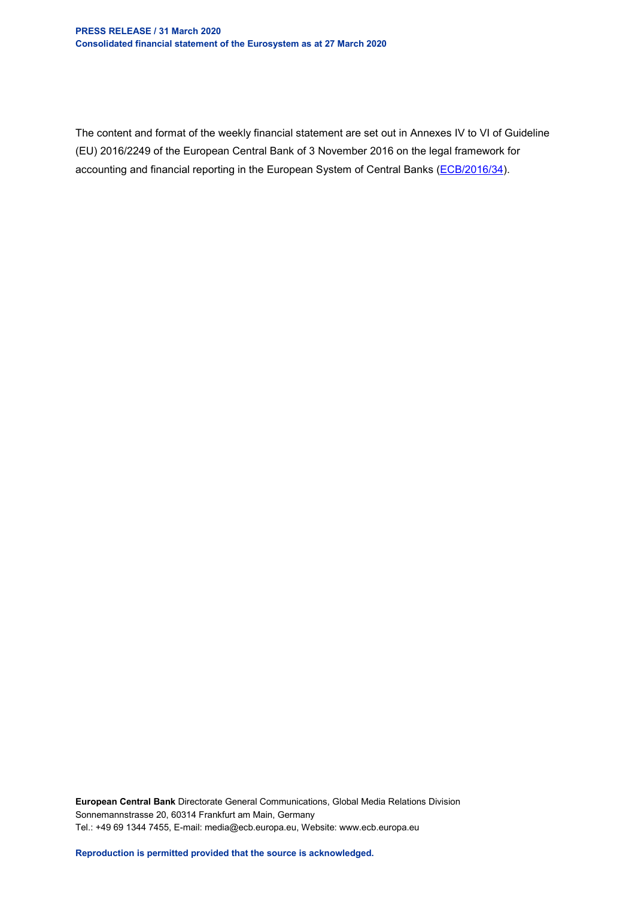The content and format of the weekly financial statement are set out in Annexes IV to VI of Guideline (EU) 2016/2249 of the European Central Bank of 3 November 2016 on the legal framework for accounting and financial reporting in the European System of Central Banks [\(ECB/2016/34\)](http://www.ecb.europa.eu/ecb/legal/1001/1012/html/index.en.html).

**European Central Bank** Directorate General Communications, Global Media Relations Division Sonnemannstrasse 20, 60314 Frankfurt am Main, Germany Tel.: +49 69 1344 7455, E-mail: media@ecb.europa.eu, Website: www.ecb.europa.eu